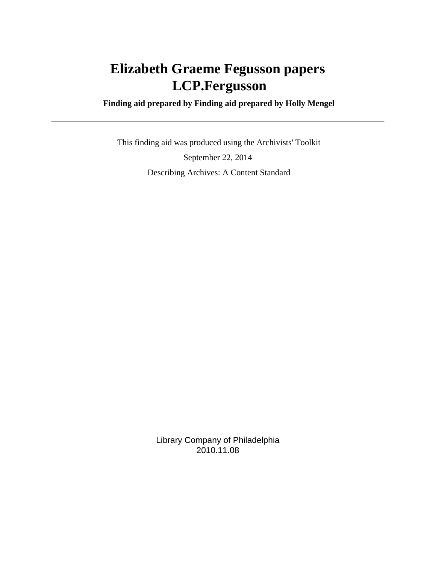# **Elizabeth Graeme Fegusson papers LCP.Fergusson**

 **Finding aid prepared by Finding aid prepared by Holly Mengel**

 This finding aid was produced using the Archivists' Toolkit September 22, 2014 Describing Archives: A Content Standard

> Library Company of Philadelphia 2010.11.08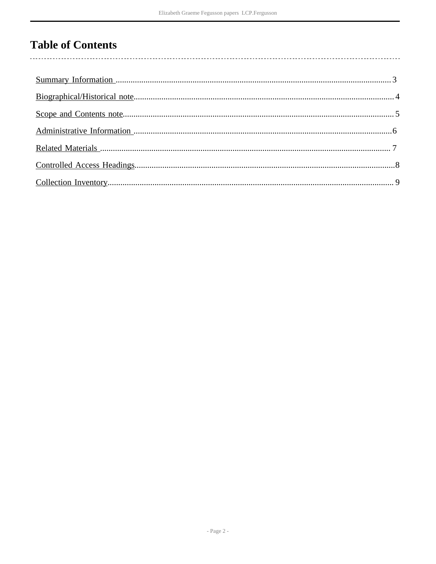# **Table of Contents**

 $\overline{\phantom{a}}$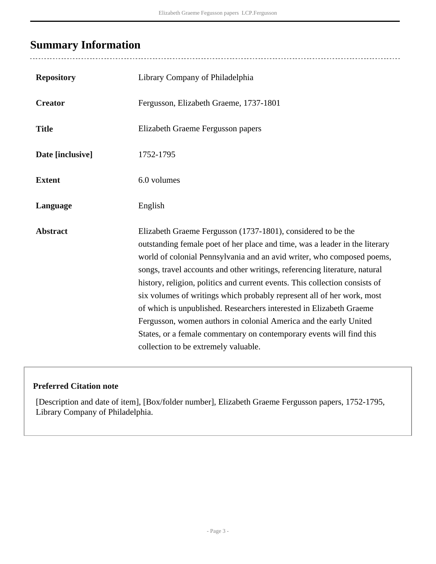### <span id="page-2-0"></span>**Summary Information**

 $\overline{a}$ 

| <b>Repository</b> | Library Company of Philadelphia                                                                                                                                                                                                                                                                                                                                                                                                                                                                                                                                                                                                                                                                                          |
|-------------------|--------------------------------------------------------------------------------------------------------------------------------------------------------------------------------------------------------------------------------------------------------------------------------------------------------------------------------------------------------------------------------------------------------------------------------------------------------------------------------------------------------------------------------------------------------------------------------------------------------------------------------------------------------------------------------------------------------------------------|
| <b>Creator</b>    | Fergusson, Elizabeth Graeme, 1737-1801                                                                                                                                                                                                                                                                                                                                                                                                                                                                                                                                                                                                                                                                                   |
| <b>Title</b>      | Elizabeth Graeme Fergusson papers                                                                                                                                                                                                                                                                                                                                                                                                                                                                                                                                                                                                                                                                                        |
| Date [inclusive]  | 1752-1795                                                                                                                                                                                                                                                                                                                                                                                                                                                                                                                                                                                                                                                                                                                |
| <b>Extent</b>     | 6.0 volumes                                                                                                                                                                                                                                                                                                                                                                                                                                                                                                                                                                                                                                                                                                              |
| Language          | English                                                                                                                                                                                                                                                                                                                                                                                                                                                                                                                                                                                                                                                                                                                  |
| <b>Abstract</b>   | Elizabeth Graeme Fergusson (1737-1801), considered to be the<br>outstanding female poet of her place and time, was a leader in the literary<br>world of colonial Pennsylvania and an avid writer, who composed poems,<br>songs, travel accounts and other writings, referencing literature, natural<br>history, religion, politics and current events. This collection consists of<br>six volumes of writings which probably represent all of her work, most<br>of which is unpublished. Researchers interested in Elizabeth Graeme<br>Fergusson, women authors in colonial America and the early United<br>States, or a female commentary on contemporary events will find this<br>collection to be extremely valuable. |

#### **Preferred Citation note**

[Description and date of item], [Box/folder number], Elizabeth Graeme Fergusson papers, 1752-1795, Library Company of Philadelphia.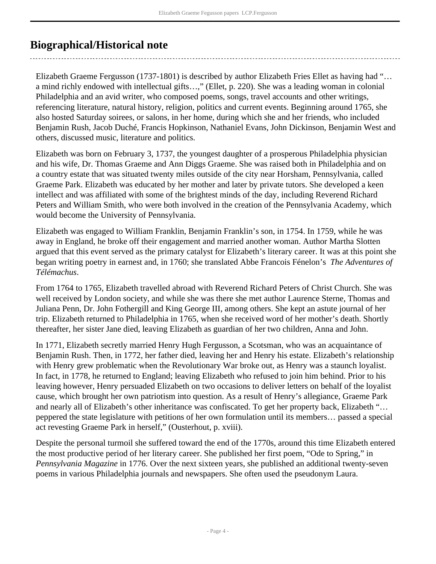### <span id="page-3-0"></span>**Biographical/Historical note**

Elizabeth Graeme Fergusson (1737-1801) is described by author Elizabeth Fries Ellet as having had "… a mind richly endowed with intellectual gifts…," (Ellet, p. 220). She was a leading woman in colonial Philadelphia and an avid writer, who composed poems, songs, travel accounts and other writings, referencing literature, natural history, religion, politics and current events. Beginning around 1765, she also hosted Saturday soirees, or salons, in her home, during which she and her friends, who included Benjamin Rush, Jacob Duché, Francis Hopkinson, Nathaniel Evans, John Dickinson, Benjamin West and others, discussed music, literature and politics.

Elizabeth was born on February 3, 1737, the youngest daughter of a prosperous Philadelphia physician and his wife, Dr. Thomas Graeme and Ann Diggs Graeme. She was raised both in Philadelphia and on a country estate that was situated twenty miles outside of the city near Horsham, Pennsylvania, called Graeme Park. Elizabeth was educated by her mother and later by private tutors. She developed a keen intellect and was affiliated with some of the brightest minds of the day, including Reverend Richard Peters and William Smith, who were both involved in the creation of the Pennsylvania Academy, which would become the University of Pennsylvania.

Elizabeth was engaged to William Franklin, Benjamin Franklin's son, in 1754. In 1759, while he was away in England, he broke off their engagement and married another woman. Author Martha Slotten argued that this event served as the primary catalyst for Elizabeth's literary career. It was at this point she began writing poetry in earnest and, in 1760; she translated Abbe Francois Fénelon's *The Adventures of Télémachus*.

From 1764 to 1765, Elizabeth travelled abroad with Reverend Richard Peters of Christ Church. She was well received by London society, and while she was there she met author Laurence Sterne, Thomas and Juliana Penn, Dr. John Fothergill and King George III, among others. She kept an astute journal of her trip. Elizabeth returned to Philadelphia in 1765, when she received word of her mother's death. Shortly thereafter, her sister Jane died, leaving Elizabeth as guardian of her two children, Anna and John.

In 1771, Elizabeth secretly married Henry Hugh Fergusson, a Scotsman, who was an acquaintance of Benjamin Rush. Then, in 1772, her father died, leaving her and Henry his estate. Elizabeth's relationship with Henry grew problematic when the Revolutionary War broke out, as Henry was a staunch loyalist. In fact, in 1778, he returned to England; leaving Elizabeth who refused to join him behind. Prior to his leaving however, Henry persuaded Elizabeth on two occasions to deliver letters on behalf of the loyalist cause, which brought her own patriotism into question. As a result of Henry's allegiance, Graeme Park and nearly all of Elizabeth's other inheritance was confiscated. To get her property back, Elizabeth "… peppered the state legislature with petitions of her own formulation until its members… passed a special act revesting Graeme Park in herself," (Ousterhout, p. xviii).

Despite the personal turmoil she suffered toward the end of the 1770s, around this time Elizabeth entered the most productive period of her literary career. She published her first poem, "Ode to Spring," in *Pennsylvania Magazine* in 1776. Over the next sixteen years, she published an additional twenty-seven poems in various Philadelphia journals and newspapers. She often used the pseudonym Laura.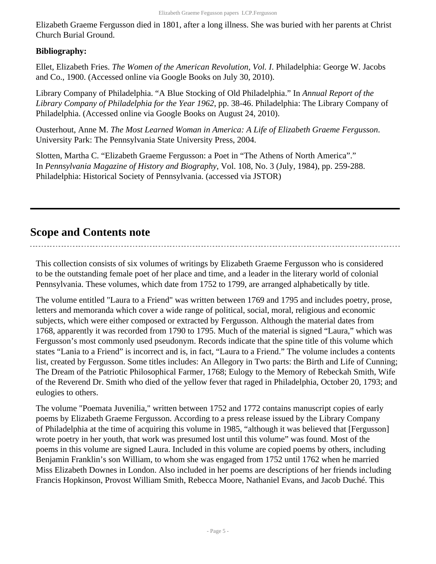Elizabeth Graeme Fergusson died in 1801, after a long illness. She was buried with her parents at Christ Church Burial Ground.

#### **Bibliography:**

Ellet, Elizabeth Fries. *The Women of the American Revolution, Vol. I*. Philadelphia: George W. Jacobs and Co., 1900. (Accessed online via Google Books on July 30, 2010).

Library Company of Philadelphia. "A Blue Stocking of Old Philadelphia." In *Annual Report of the Library Company of Philadelphia for the Year 1962*, pp. 38-46. Philadelphia: The Library Company of Philadelphia. (Accessed online via Google Books on August 24, 2010).

Ousterhout, Anne M. *The Most Learned Woman in America: A Life of Elizabeth Graeme Fergusson*. University Park: The Pennsylvania State University Press, 2004.

Slotten, Martha C. "Elizabeth Graeme Fergusson: a Poet in "The Athens of North America"." In *Pennsylvania Magazine of History and Biography*, Vol. 108, No. 3 (July, 1984), pp. 259-288. Philadelphia: Historical Society of Pennsylvania. (accessed via JSTOR)

### <span id="page-4-0"></span>**Scope and Contents note**

This collection consists of six volumes of writings by Elizabeth Graeme Fergusson who is considered to be the outstanding female poet of her place and time, and a leader in the literary world of colonial Pennsylvania. These volumes, which date from 1752 to 1799, are arranged alphabetically by title.

The volume entitled "Laura to a Friend" was written between 1769 and 1795 and includes poetry, prose, letters and memoranda which cover a wide range of political, social, moral, religious and economic subjects, which were either composed or extracted by Fergusson. Although the material dates from 1768, apparently it was recorded from 1790 to 1795. Much of the material is signed "Laura," which was Fergusson's most commonly used pseudonym. Records indicate that the spine title of this volume which states "Lania to a Friend" is incorrect and is, in fact, "Laura to a Friend." The volume includes a contents list, created by Fergusson. Some titles includes: An Allegory in Two parts: the Birth and Life of Cunning; The Dream of the Patriotic Philosophical Farmer, 1768; Eulogy to the Memory of Rebeckah Smith, Wife of the Reverend Dr. Smith who died of the yellow fever that raged in Philadelphia, October 20, 1793; and eulogies to others.

The volume "Poemata Juvenilia," written between 1752 and 1772 contains manuscript copies of early poems by Elizabeth Graeme Fergusson. According to a press release issued by the Library Company of Philadelphia at the time of acquiring this volume in 1985, "although it was believed that [Fergusson] wrote poetry in her youth, that work was presumed lost until this volume" was found. Most of the poems in this volume are signed Laura. Included in this volume are copied poems by others, including Benjamin Franklin's son William, to whom she was engaged from 1752 until 1762 when he married Miss Elizabeth Downes in London. Also included in her poems are descriptions of her friends including Francis Hopkinson, Provost William Smith, Rebecca Moore, Nathaniel Evans, and Jacob Duché. This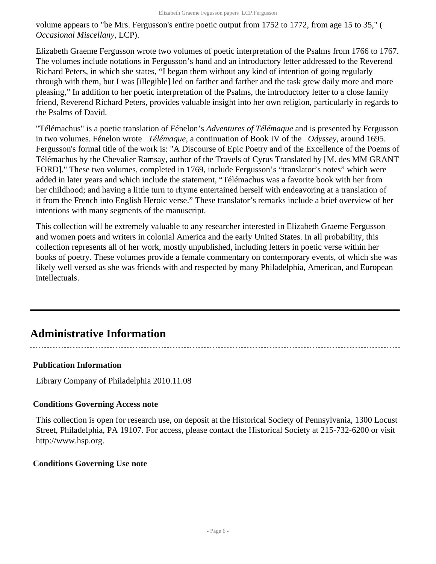volume appears to "be Mrs. Fergusson's entire poetic output from 1752 to 1772, from age 15 to 35," ( *Occasional Miscellany*, LCP).

Elizabeth Graeme Fergusson wrote two volumes of poetic interpretation of the Psalms from 1766 to 1767. The volumes include notations in Fergusson's hand and an introductory letter addressed to the Reverend Richard Peters, in which she states, "I began them without any kind of intention of going regularly through with them, but I was [illegible] led on farther and farther and the task grew daily more and more pleasing," In addition to her poetic interpretation of the Psalms, the introductory letter to a close family friend, Reverend Richard Peters, provides valuable insight into her own religion, particularly in regards to the Psalms of David.

"Télémachus" is a poetic translation of Fénelon's *Adventures of Télémaque* and is presented by Fergusson in two volumes. Fénelon wrote *Télémaque*, a continuation of Book IV of the *Odyssey*, around 1695. Fergusson's formal title of the work is: "A Discourse of Epic Poetry and of the Excellence of the Poems of Télémachus by the Chevalier Ramsay, author of the Travels of Cyrus Translated by [M. des MM GRANT FORD]." These two volumes, completed in 1769, include Fergusson's "translator's notes" which were added in later years and which include the statement, "Télémachus was a favorite book with her from her childhood; and having a little turn to rhyme entertained herself with endeavoring at a translation of it from the French into English Heroic verse." These translator's remarks include a brief overview of her intentions with many segments of the manuscript.

This collection will be extremely valuable to any researcher interested in Elizabeth Graeme Fergusson and women poets and writers in colonial America and the early United States. In all probability, this collection represents all of her work, mostly unpublished, including letters in poetic verse within her books of poetry. These volumes provide a female commentary on contemporary events, of which she was likely well versed as she was friends with and respected by many Philadelphia, American, and European intellectuals.

### <span id="page-5-0"></span>**Administrative Information**

#### **Publication Information**

Library Company of Philadelphia 2010.11.08

#### **Conditions Governing Access note**

This collection is open for research use, on deposit at the Historical Society of Pennsylvania, 1300 Locust Street, Philadelphia, PA 19107. For access, please contact the Historical Society at 215-732-6200 or visit http://www.hsp.org.

#### **Conditions Governing Use note**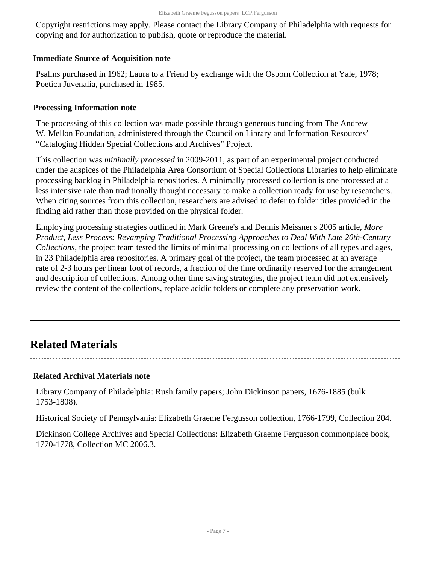Copyright restrictions may apply. Please contact the Library Company of Philadelphia with requests for copying and for authorization to publish, quote or reproduce the material.

#### **Immediate Source of Acquisition note**

Psalms purchased in 1962; Laura to a Friend by exchange with the Osborn Collection at Yale, 1978; Poetica Juvenalia, purchased in 1985.

#### **Processing Information note**

The processing of this collection was made possible through generous funding from The Andrew W. Mellon Foundation, administered through the Council on Library and Information Resources' "Cataloging Hidden Special Collections and Archives" Project.

This collection was *minimally processed* in 2009-2011, as part of an experimental project conducted under the auspices of the Philadelphia Area Consortium of Special Collections Libraries to help eliminate processing backlog in Philadelphia repositories. A minimally processed collection is one processed at a less intensive rate than traditionally thought necessary to make a collection ready for use by researchers. When citing sources from this collection, researchers are advised to defer to folder titles provided in the finding aid rather than those provided on the physical folder.

Employing processing strategies outlined in Mark Greene's and Dennis Meissner's 2005 article, *More Product, Less Process: Revamping Traditional Processing Approaches to Deal With Late 20th-Century Collections*, the project team tested the limits of minimal processing on collections of all types and ages, in 23 Philadelphia area repositories. A primary goal of the project, the team processed at an average rate of 2-3 hours per linear foot of records, a fraction of the time ordinarily reserved for the arrangement and description of collections. Among other time saving strategies, the project team did not extensively review the content of the collections, replace acidic folders or complete any preservation work.

### <span id="page-6-0"></span>**Related Materials**

#### **Related Archival Materials note**

Library Company of Philadelphia: Rush family papers; John Dickinson papers, 1676-1885 (bulk 1753-1808).

Historical Society of Pennsylvania: Elizabeth Graeme Fergusson collection, 1766-1799, Collection 204.

Dickinson College Archives and Special Collections: Elizabeth Graeme Fergusson commonplace book, 1770-1778, Collection MC 2006.3.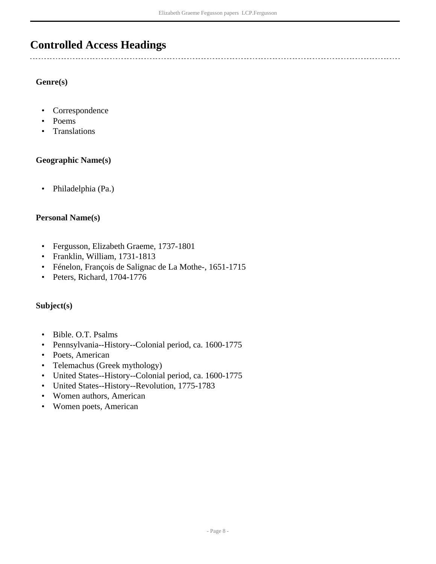### <span id="page-7-0"></span>**Controlled Access Headings**

#### **Genre(s)**

- Correspondence
- Poems
- Translations

#### **Geographic Name(s)**

• Philadelphia (Pa.)

#### **Personal Name(s)**

- Fergusson, Elizabeth Graeme, 1737-1801
- Franklin, William, 1731-1813
- Fénelon, François de Salignac de La Mothe-, 1651-1715
- Peters, Richard, 1704-1776

#### **Subject(s)**

- Bible. O.T. Psalms
- Pennsylvania--History--Colonial period, ca. 1600-1775
- Poets, American
- Telemachus (Greek mythology)
- United States--History--Colonial period, ca. 1600-1775
- United States--History--Revolution, 1775-1783
- Women authors, American
- Women poets, American